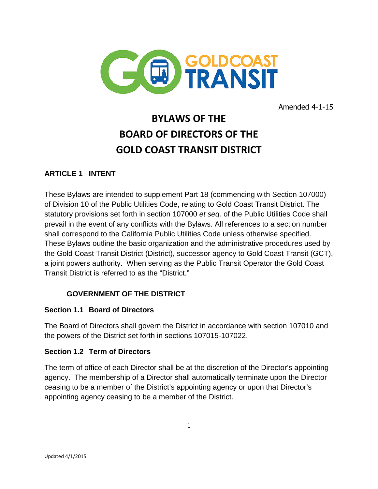

Amended 4-1-15

# **BYLAWS OF THE BOARD OF DIRECTORS OF THE GOLD COAST TRANSIT DISTRICT**

# **ARTICLE 1 INTENT**

These Bylaws are intended to supplement Part 18 (commencing with Section 107000) of Division 10 of the Public Utilities Code, relating to Gold Coast Transit District. The statutory provisions set forth in section 107000 *et seq.* of the Public Utilities Code shall prevail in the event of any conflicts with the Bylaws. All references to a section number shall correspond to the California Public Utilities Code unless otherwise specified. These Bylaws outline the basic organization and the administrative procedures used by the Gold Coast Transit District (District), successor agency to Gold Coast Transit (GCT), a joint powers authority. When serving as the Public Transit Operator the Gold Coast Transit District is referred to as the "District."

# **GOVERNMENT OF THE DISTRICT**

#### **Section 1.1 Board of Directors**

The Board of Directors shall govern the District in accordance with section 107010 and the powers of the District set forth in sections 107015-107022.

#### **Section 1.2 Term of Directors**

The term of office of each Director shall be at the discretion of the Director's appointing agency. The membership of a Director shall automatically terminate upon the Director ceasing to be a member of the District's appointing agency or upon that Director's appointing agency ceasing to be a member of the District.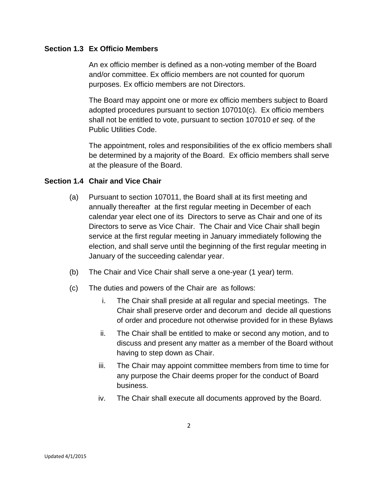#### **Section 1.3 Ex Officio Members**

An ex officio member is defined as a non-voting member of the Board and/or committee. Ex officio members are not counted for quorum purposes. Ex officio members are not Directors.

The Board may appoint one or more ex officio members subject to Board adopted procedures pursuant to section 107010(c). Ex officio members shall not be entitled to vote, pursuant to section 107010 *et seq.* of the Public Utilities Code.

The appointment, roles and responsibilities of the ex officio members shall be determined by a majority of the Board. Ex officio members shall serve at the pleasure of the Board.

#### **Section 1.4 Chair and Vice Chair**

- (a) Pursuant to section 107011, the Board shall at its first meeting and annually thereafter at the first regular meeting in December of each calendar year elect one of its Directors to serve as Chair and one of its Directors to serve as Vice Chair. The Chair and Vice Chair shall begin service at the first regular meeting in January immediately following the election, and shall serve until the beginning of the first regular meeting in January of the succeeding calendar year.
- (b) The Chair and Vice Chair shall serve a one-year (1 year) term.
- (c) The duties and powers of the Chair are as follows:
	- i. The Chair shall preside at all regular and special meetings. The Chair shall preserve order and decorum and decide all questions of order and procedure not otherwise provided for in these Bylaws
	- ii. The Chair shall be entitled to make or second any motion, and to discuss and present any matter as a member of the Board without having to step down as Chair.
	- iii. The Chair may appoint committee members from time to time for any purpose the Chair deems proper for the conduct of Board business.
	- iv. The Chair shall execute all documents approved by the Board.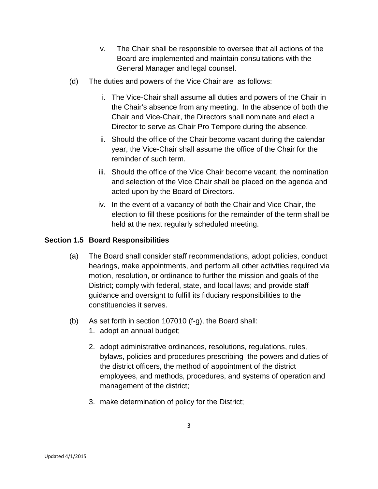- v. The Chair shall be responsible to oversee that all actions of the Board are implemented and maintain consultations with the General Manager and legal counsel.
- (d) The duties and powers of the Vice Chair are as follows:
	- i. The Vice-Chair shall assume all duties and powers of the Chair in the Chair's absence from any meeting. In the absence of both the Chair and Vice-Chair, the Directors shall nominate and elect a Director to serve as Chair Pro Tempore during the absence.
	- ii. Should the office of the Chair become vacant during the calendar year, the Vice-Chair shall assume the office of the Chair for the reminder of such term.
	- iii. Should the office of the Vice Chair become vacant, the nomination and selection of the Vice Chair shall be placed on the agenda and acted upon by the Board of Directors.
	- iv. In the event of a vacancy of both the Chair and Vice Chair, the election to fill these positions for the remainder of the term shall be held at the next regularly scheduled meeting.

#### **Section 1.5 Board Responsibilities**

- (a) The Board shall consider staff recommendations, adopt policies, conduct hearings, make appointments, and perform all other activities required via motion, resolution, or ordinance to further the mission and goals of the District; comply with federal, state, and local laws; and provide staff guidance and oversight to fulfill its fiduciary responsibilities to the constituencies it serves.
- (b) As set forth in section 107010 (f-g), the Board shall:
	- 1. adopt an annual budget;
	- 2. adopt administrative ordinances, resolutions, regulations, rules, bylaws, policies and procedures prescribing the powers and duties of the district officers, the method of appointment of the district employees, and methods, procedures, and systems of operation and management of the district;
	- 3. make determination of policy for the District;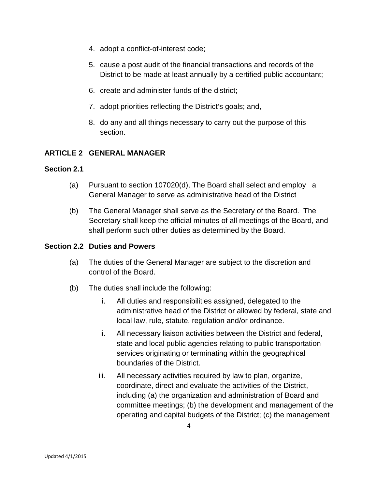- 4. adopt a conflict-of-interest code;
- 5. cause a post audit of the financial transactions and records of the District to be made at least annually by a certified public accountant;
- 6. create and administer funds of the district;
- 7. adopt priorities reflecting the District's goals; and,
- 8. do any and all things necessary to carry out the purpose of this section.

# **ARTICLE 2 GENERAL MANAGER**

#### **Section 2.1**

- (a) Pursuant to section 107020(d), The Board shall select and employ a General Manager to serve as administrative head of the District
- (b) The General Manager shall serve as the Secretary of the Board. The Secretary shall keep the official minutes of all meetings of the Board, and shall perform such other duties as determined by the Board.

#### **Section 2.2 Duties and Powers**

- (a) The duties of the General Manager are subject to the discretion and control of the Board.
- (b) The duties shall include the following:
	- i. All duties and responsibilities assigned, delegated to the administrative head of the District or allowed by federal, state and local law, rule, statute, regulation and/or ordinance.
	- ii. All necessary liaison activities between the District and federal, state and local public agencies relating to public transportation services originating or terminating within the geographical boundaries of the District.
	- iii. All necessary activities required by law to plan, organize, coordinate, direct and evaluate the activities of the District, including (a) the organization and administration of Board and committee meetings; (b) the development and management of the operating and capital budgets of the District; (c) the management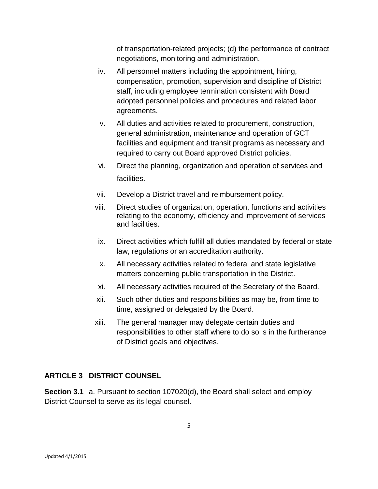of transportation-related projects; (d) the performance of contract negotiations, monitoring and administration.

- iv. All personnel matters including the appointment, hiring, compensation, promotion, supervision and discipline of District staff, including employee termination consistent with Board adopted personnel policies and procedures and related labor agreements.
- v. All duties and activities related to procurement, construction, general administration, maintenance and operation of GCT facilities and equipment and transit programs as necessary and required to carry out Board approved District policies.
- vi. Direct the planning, organization and operation of services and facilities.
- vii. Develop a District travel and reimbursement policy.
- viii. Direct studies of organization, operation, functions and activities relating to the economy, efficiency and improvement of services and facilities.
- ix. Direct activities which fulfill all duties mandated by federal or state law, regulations or an accreditation authority.
- x. All necessary activities related to federal and state legislative matters concerning public transportation in the District.
- xi. All necessary activities required of the Secretary of the Board.
- xii. Such other duties and responsibilities as may be, from time to time, assigned or delegated by the Board.
- xiii. The general manager may delegate certain duties and responsibilities to other staff where to do so is in the furtherance of District goals and objectives.

# **ARTICLE 3 DISTRICT COUNSEL**

**Section 3.1** a. Pursuant to section 107020(d), the Board shall select and employ District Counsel to serve as its legal counsel.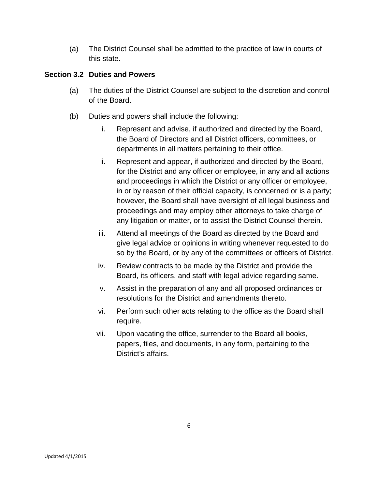(a) The District Counsel shall be admitted to the practice of law in courts of this state.

## **Section 3.2 Duties and Powers**

- (a) The duties of the District Counsel are subject to the discretion and control of the Board.
- (b) Duties and powers shall include the following:
	- i. Represent and advise, if authorized and directed by the Board, the Board of Directors and all District officers, committees, or departments in all matters pertaining to their office.
	- ii. Represent and appear, if authorized and directed by the Board, for the District and any officer or employee, in any and all actions and proceedings in which the District or any officer or employee, in or by reason of their official capacity, is concerned or is a party; however, the Board shall have oversight of all legal business and proceedings and may employ other attorneys to take charge of any litigation or matter, or to assist the District Counsel therein.
	- iii. Attend all meetings of the Board as directed by the Board and give legal advice or opinions in writing whenever requested to do so by the Board, or by any of the committees or officers of District.
	- iv. Review contracts to be made by the District and provide the Board, its officers, and staff with legal advice regarding same.
	- v. Assist in the preparation of any and all proposed ordinances or resolutions for the District and amendments thereto.
	- vi. Perform such other acts relating to the office as the Board shall require.
	- vii. Upon vacating the office, surrender to the Board all books, papers, files, and documents, in any form, pertaining to the District's affairs.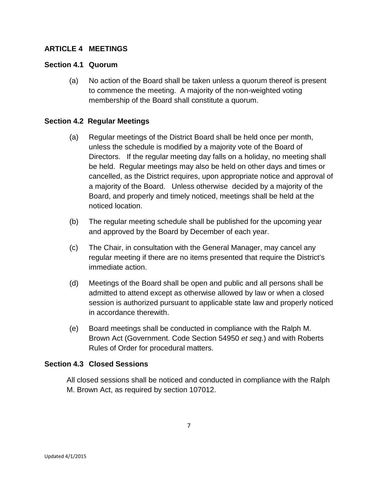## **ARTICLE 4 MEETINGS**

#### **Section 4.1 Quorum**

(a) No action of the Board shall be taken unless a quorum thereof is present to commence the meeting. A majority of the non-weighted voting membership of the Board shall constitute a quorum.

#### **Section 4.2 Regular Meetings**

- (a) Regular meetings of the District Board shall be held once per month, unless the schedule is modified by a majority vote of the Board of Directors. If the regular meeting day falls on a holiday, no meeting shall be held. Regular meetings may also be held on other days and times or cancelled, as the District requires, upon appropriate notice and approval of a majority of the Board. Unless otherwise decided by a majority of the Board, and properly and timely noticed, meetings shall be held at the noticed location.
- (b) The regular meeting schedule shall be published for the upcoming year and approved by the Board by December of each year.
- (c) The Chair, in consultation with the General Manager, may cancel any regular meeting if there are no items presented that require the District's immediate action.
- (d) Meetings of the Board shall be open and public and all persons shall be admitted to attend except as otherwise allowed by law or when a closed session is authorized pursuant to applicable state law and properly noticed in accordance therewith.
- (e) Board meetings shall be conducted in compliance with the Ralph M. Brown Act (Government. Code Section 54950 *et seq.*) and with Roberts Rules of Order for procedural matters.

#### **Section 4.3 Closed Sessions**

All closed sessions shall be noticed and conducted in compliance with the Ralph M. Brown Act, as required by section 107012.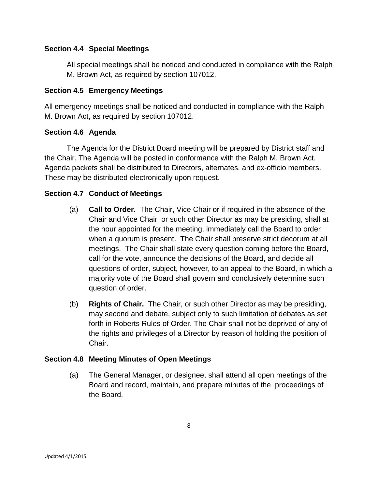## **Section 4.4 Special Meetings**

All special meetings shall be noticed and conducted in compliance with the Ralph M. Brown Act, as required by section 107012.

## **Section 4.5 Emergency Meetings**

All emergency meetings shall be noticed and conducted in compliance with the Ralph M. Brown Act, as required by section 107012.

#### **Section 4.6 Agenda**

The Agenda for the District Board meeting will be prepared by District staff and the Chair. The Agenda will be posted in conformance with the Ralph M. Brown Act. Agenda packets shall be distributed to Directors, alternates, and ex-officio members. These may be distributed electronically upon request.

## **Section 4.7 Conduct of Meetings**

- (a) **Call to Order.** The Chair, Vice Chair or if required in the absence of the Chair and Vice Chair or such other Director as may be presiding, shall at the hour appointed for the meeting, immediately call the Board to order when a quorum is present. The Chair shall preserve strict decorum at all meetings. The Chair shall state every question coming before the Board, call for the vote, announce the decisions of the Board, and decide all questions of order, subject, however, to an appeal to the Board, in which a majority vote of the Board shall govern and conclusively determine such question of order.
- (b) **Rights of Chair.** The Chair, or such other Director as may be presiding, may second and debate, subject only to such limitation of debates as set forth in Roberts Rules of Order. The Chair shall not be deprived of any of the rights and privileges of a Director by reason of holding the position of Chair.

#### **Section 4.8 Meeting Minutes of Open Meetings**

(a) The General Manager, or designee, shall attend all open meetings of the Board and record, maintain, and prepare minutes of the proceedings of the Board.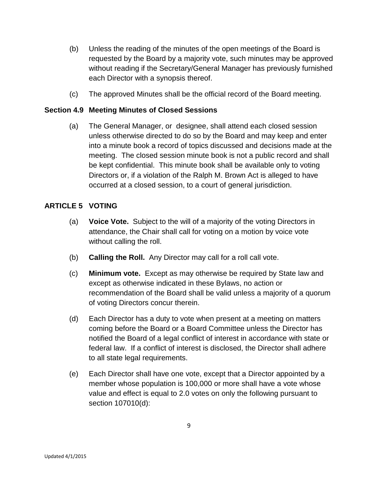- (b) Unless the reading of the minutes of the open meetings of the Board is requested by the Board by a majority vote, such minutes may be approved without reading if the Secretary/General Manager has previously furnished each Director with a synopsis thereof.
- (c) The approved Minutes shall be the official record of the Board meeting.

## **Section 4.9 Meeting Minutes of Closed Sessions**

(a) The General Manager, or designee, shall attend each closed session unless otherwise directed to do so by the Board and may keep and enter into a minute book a record of topics discussed and decisions made at the meeting. The closed session minute book is not a public record and shall be kept confidential. This minute book shall be available only to voting Directors or, if a violation of the Ralph M. Brown Act is alleged to have occurred at a closed session, to a court of general jurisdiction.

## **ARTICLE 5 VOTING**

- (a) **Voice Vote.** Subject to the will of a majority of the voting Directors in attendance, the Chair shall call for voting on a motion by voice vote without calling the roll.
- (b) **Calling the Roll.** Any Director may call for a roll call vote.
- (c) **Minimum vote.** Except as may otherwise be required by State law and except as otherwise indicated in these Bylaws, no action or recommendation of the Board shall be valid unless a majority of a quorum of voting Directors concur therein.
- (d) Each Director has a duty to vote when present at a meeting on matters coming before the Board or a Board Committee unless the Director has notified the Board of a legal conflict of interest in accordance with state or federal law. If a conflict of interest is disclosed, the Director shall adhere to all state legal requirements.
- (e) Each Director shall have one vote, except that a Director appointed by a member whose population is 100,000 or more shall have a vote whose value and effect is equal to 2.0 votes on only the following pursuant to section 107010(d):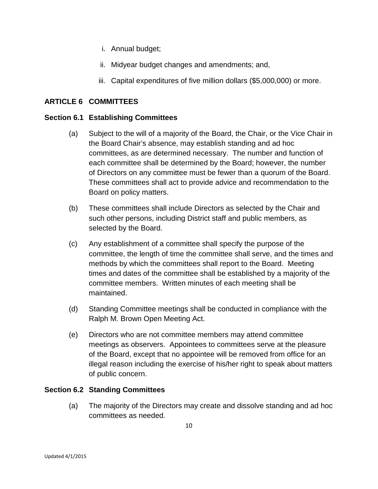- i. Annual budget;
- ii. Midyear budget changes and amendments; and,
- iii. Capital expenditures of five million dollars (\$5,000,000) or more.

## **ARTICLE 6 COMMITTEES**

#### **Section 6.1 Establishing Committees**

- (a) Subject to the will of a majority of the Board, the Chair, or the Vice Chair in the Board Chair's absence, may establish standing and ad hoc committees, as are determined necessary. The number and function of each committee shall be determined by the Board; however, the number of Directors on any committee must be fewer than a quorum of the Board. These committees shall act to provide advice and recommendation to the Board on policy matters.
- (b) These committees shall include Directors as selected by the Chair and such other persons, including District staff and public members, as selected by the Board.
- (c) Any establishment of a committee shall specify the purpose of the committee, the length of time the committee shall serve, and the times and methods by which the committees shall report to the Board. Meeting times and dates of the committee shall be established by a majority of the committee members. Written minutes of each meeting shall be maintained.
- (d) Standing Committee meetings shall be conducted in compliance with the Ralph M. Brown Open Meeting Act.
- (e) Directors who are not committee members may attend committee meetings as observers. Appointees to committees serve at the pleasure of the Board, except that no appointee will be removed from office for an illegal reason including the exercise of his/her right to speak about matters of public concern.

#### **Section 6.2 Standing Committees**

(a) The majority of the Directors may create and dissolve standing and ad hoc committees as needed.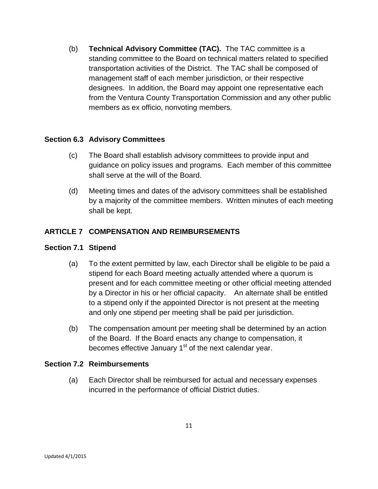(b) **Technical Advisory Committee (TAC).** The TAC committee is a standing committee to the Board on technical matters related to specified transportation activities of the District. The TAC shall be composed of management staff of each member jurisdiction, or their respective designees. In addition, the Board may appoint one representative each from the Ventura County Transportation Commission and any other public members as ex officio, nonvoting members.

## **Section 6.3 Advisory Committees**

- (c) The Board shall establish advisory committees to provide input and guidance on policy issues and programs. Each member of this committee shall serve at the will of the Board.
- (d) Meeting times and dates of the advisory committees shall be established by a majority of the committee members. Written minutes of each meeting shall be kept.

# **ARTICLE 7 COMPENSATION AND REIMBURSEMENTS**

#### **Section 7.1 Stipend**

- (a) To the extent permitted by law, each Director shall be eligible to be paid a stipend for each Board meeting actually attended where a quorum is present and for each committee meeting or other official meeting attended by a Director in his or her official capacity. An alternate shall be entitled to a stipend only if the appointed Director is not present at the meeting and only one stipend per meeting shall be paid per jurisdiction.
- (b) The compensation amount per meeting shall be determined by an action of the Board. If the Board enacts any change to compensation, it becomes effective January  $1<sup>st</sup>$  of the next calendar year.

#### **Section 7.2 Reimbursements**

(a) Each Director shall be reimbursed for actual and necessary expenses incurred in the performance of official District duties.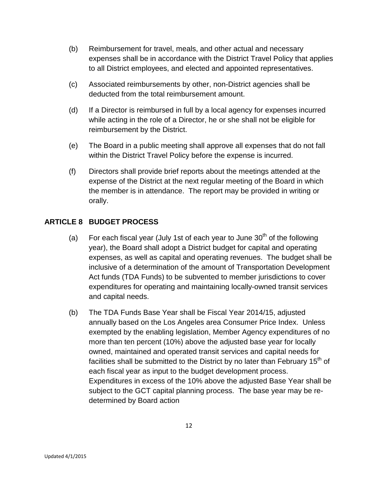- (b) Reimbursement for travel, meals, and other actual and necessary expenses shall be in accordance with the District Travel Policy that applies to all District employees, and elected and appointed representatives.
- (c) Associated reimbursements by other, non-District agencies shall be deducted from the total reimbursement amount.
- (d) If a Director is reimbursed in full by a local agency for expenses incurred while acting in the role of a Director, he or she shall not be eligible for reimbursement by the District.
- (e) The Board in a public meeting shall approve all expenses that do not fall within the District Travel Policy before the expense is incurred.
- (f) Directors shall provide brief reports about the meetings attended at the expense of the District at the next regular meeting of the Board in which the member is in attendance. The report may be provided in writing or orally.

# **ARTICLE 8 BUDGET PROCESS**

- (a) For each fiscal year (July 1st of each year to June  $30<sup>th</sup>$  of the following year), the Board shall adopt a District budget for capital and operating expenses, as well as capital and operating revenues. The budget shall be inclusive of a determination of the amount of Transportation Development Act funds (TDA Funds) to be subvented to member jurisdictions to cover expenditures for operating and maintaining locally-owned transit services and capital needs.
- (b) The TDA Funds Base Year shall be Fiscal Year 2014/15, adjusted annually based on the Los Angeles area Consumer Price Index. Unless exempted by the enabling legislation, Member Agency expenditures of no more than ten percent (10%) above the adjusted base year for locally owned, maintained and operated transit services and capital needs for facilities shall be submitted to the District by no later than February  $15<sup>th</sup>$  of each fiscal year as input to the budget development process. Expenditures in excess of the 10% above the adjusted Base Year shall be subject to the GCT capital planning process. The base year may be redetermined by Board action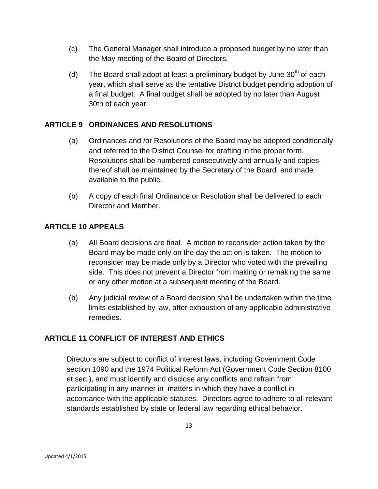- (c) The General Manager shall introduce a proposed budget by no later than the May meeting of the Board of Directors.
- (d) The Board shall adopt at least a preliminary budget by June  $30<sup>th</sup>$  of each year, which shall serve as the tentative District budget pending adoption of a final budget. A final budget shall be adopted by no later than August 30th of each year.

# **ARTICLE 9 ORDINANCES AND RESOLUTIONS**

- (a) Ordinances and /or Resolutions of the Board may be adopted conditionally and referred to the District Counsel for drafting in the proper form. Resolutions shall be numbered consecutively and annually and copies thereof shall be maintained by the Secretary of the Board and made available to the public.
- (b) A copy of each final Ordinance or Resolution shall be delivered to each Director and Member.

## **ARTICLE 10 APPEALS**

- (a) All Board decisions are final. A motion to reconsider action taken by the Board may be made only on the day the action is taken. The motion to reconsider may be made only by a Director who voted with the prevailing side. This does not prevent a Director from making or remaking the same or any other motion at a subsequent meeting of the Board.
- (b) Any judicial review of a Board decision shall be undertaken within the time limits established by law, after exhaustion of any applicable administrative remedies.

#### **ARTICLE 11 CONFLICT OF INTEREST AND ETHICS**

Directors are subject to conflict of interest laws, including Government Code section 1090 and the 1974 Political Reform Act (Government Code Section 8100 et seq.), and must identify and disclose any conflicts and refrain from participating in any manner in matters in which they have a conflict in accordance with the applicable statutes. Directors agree to adhere to all relevant standards established by state or federal law regarding ethical behavior.